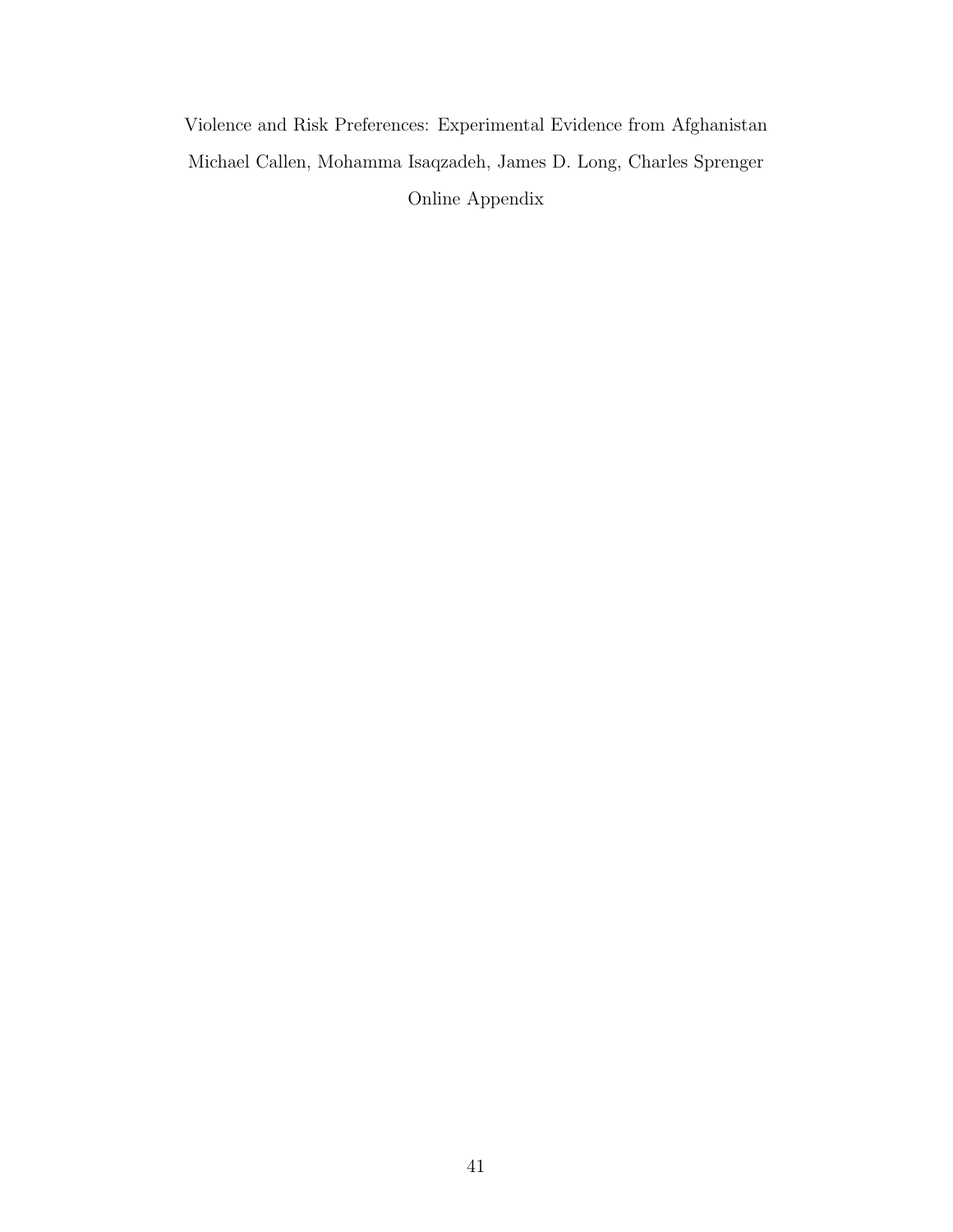Violence and Risk Preferences: Experimental Evidence from Afghanistan Michael Callen, Mohamma Isaqzadeh, James D. Long, Charles Sprenger Online Appendix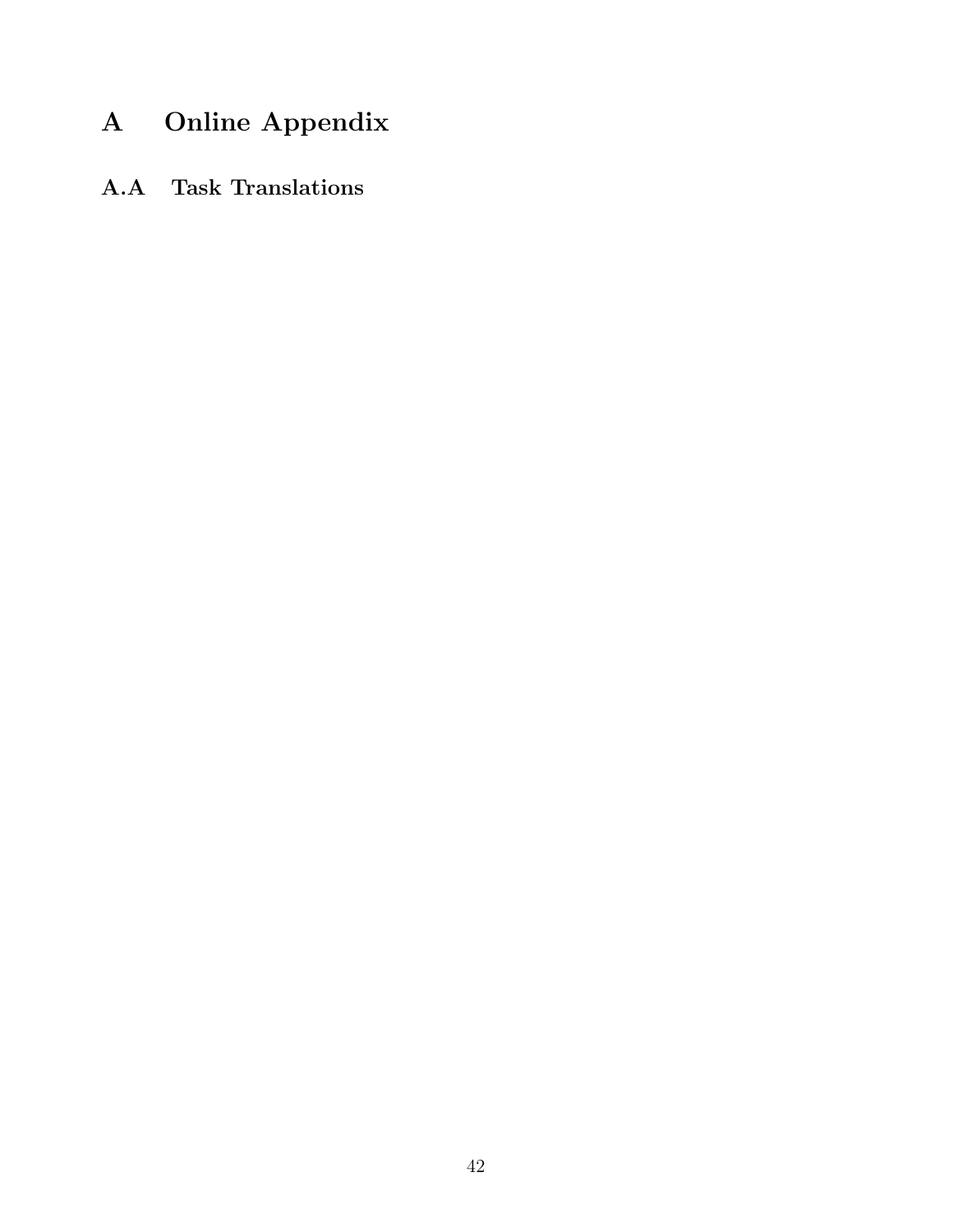## A Online Appendix

A.A Task Translations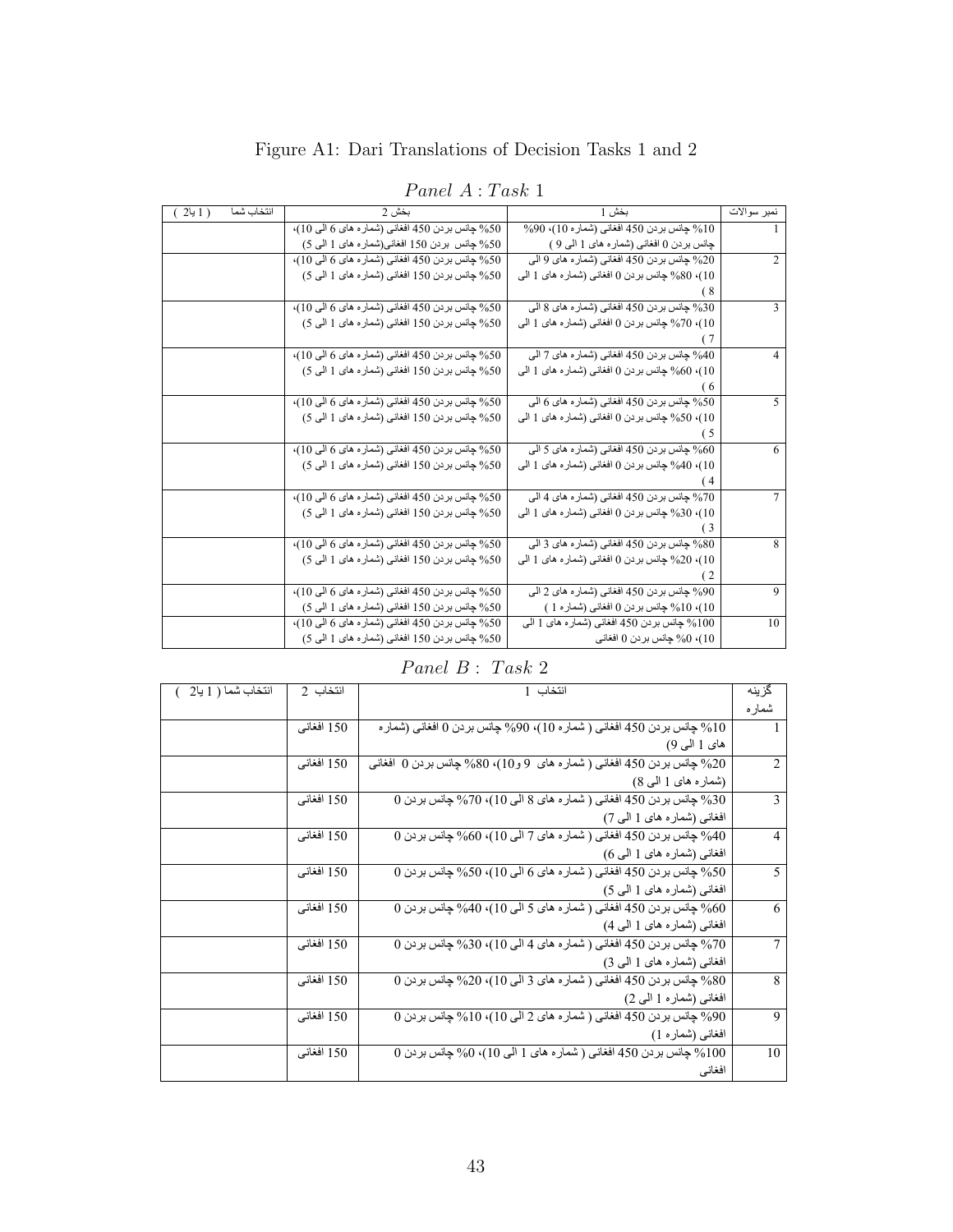|  | Figure A1: Dari Translations of Decision Tasks 1 and 2 |  |
|--|--------------------------------------------------------|--|
|--|--------------------------------------------------------|--|

| <i>Panel A</i> : Task 1 |  |
|-------------------------|--|
|-------------------------|--|

| نمبر سوالات  | بخش 1                                            | بخش 2                                            | انتخاب شما<br>( 1 يا2 ) |
|--------------|--------------------------------------------------|--------------------------------------------------|-------------------------|
|              | 10% جانس بردن 450 افغاني (شمار ه 10)، 90%        | 50% جانس بردن 450 افغاني (شمار ه هاي 6 الى 10)،  |                         |
|              | چانس بردن () افغانی (شماره های 1 المی 9 )        | 50% چانس بردن 150 افغانی(شماره های 1 المی 5)     |                         |
| 2            | 20% جانس بردن 450 افغاني (شماره هاي 9 الي        | 50% جانس بردن 450 افغاني (شمار ه هاي 6 الى 10)،  |                         |
|              | 10). 80% چانس بردن 0 افغانی (شماره های 1 البی    | 50% جانس بردن 150 افغاني (شمار ه هاي 1 البي 5)   |                         |
|              |                                                  |                                                  |                         |
| $\mathbf{3}$ | 30% جانس بردن 450 افغاني (شماره هاي 8 الي        | 50% جانس بردن 450 افغاني (شمار ه هاي 6 الى 10)،  |                         |
|              | 10)، 70% چانس بردن () افغاني (شمار ه هاي 1 البي  | 50% جانس بردن 150 افغاني (شمار ه هاي 1 البي 5)   |                         |
|              |                                                  |                                                  |                         |
| 4            | 40% جانس بر دن 450 افغاني (شمار ه هاي 7 الي      | 50% جانس بردن 450 افغاني (شمار ه هاي 6 الى 10)،  |                         |
|              | 10)، 60% چانس بردن () افغاني (شمار ه هاي 1 البي  | 50% جانس بردن 150 افغاني (شمار ه هاي 1 البي 5)   |                         |
|              | 6)                                               |                                                  |                         |
| 5            | 50% جانس بردن 450 افغاني (شماره هاي 6 الي        | 50% جانس بردن 450 افغاني (شمار ه هاي 6 الى 10)،  |                         |
|              | 10)، 50% چانس بردن () افغاني (شمار ه هاي 1 البي  | 50% جانس بردن 150 افغاني (شمار ه هاي 1 البي 5)   |                         |
|              | 5                                                |                                                  |                         |
| 6            | 60% جانس بر دن 450 افغاني (شمار ه هاي 5 الي      | 50% جانس بردن 450 افغاني (شمار ه هاي 6 الى 10)،  |                         |
|              | 10)، 40% چانس بر دن 0 افغانی (شمار ه های 1 البی  | 50% جانس بردن 150 افغاني (شمار ه هاي 1 البي 5)   |                         |
|              | (4                                               |                                                  |                         |
| $\tau$       | 70% جانس بردن 450 افغاني (شماره هاي 4 الي        | 50% چانس بردن 450 افغاني (شمار ه هاي 6 الي 10)،  |                         |
|              | 10)، 30% چانس بردن 0 افغانی (شمار ه های 1 البی   | 50% جانس بردن 150 افغاني (شمار ه هاي 1 البي 5)   |                         |
|              | (3                                               |                                                  |                         |
| 8            | 80% جانس بردن 450 افغاني (شماره هاي 3 الي        | 50% جانس بردن 450 افغاني (شمار ه هاي 6 الى 10)،  |                         |
|              | 10)، 20% چانس بر دن () افغاني (شمار ه هاي 1 المي | 50% جانس بردن 150 افغاني (شمار ه هاي 1 البي 5)   |                         |
|              |                                                  |                                                  |                         |
| 9            | 90% جانس بردن 450 افغاني (شماره هاي 2 الي        | 50% جانس بردن 450 افغاني (شمار ه هاي 6 الى 10)،  |                         |
|              | 10)، 10% چانس بر دن 0 افغانی (شمار ه 1 )         | 50% جانس بردن 150 افغاني (شمار ه هاي 1 البي 5)   |                         |
| 10           | 100% جانس بر دن 450 افغاني (شمار ه هاي 1 الي     | 50% جانس بر دن 450 افغاني (شمار ه هاي 6 الى 10)، |                         |
|              | 10)، 0% چانس بر دن 0 افغانی                      | 50% جانس بر دن 150 افغانی (شمار ه های 1 الی 5)   |                         |
|              |                                                  |                                                  |                         |

*P anel B* : *T ask* 2

| انتخاب شما ( 1 يا2 | انتخاب 2   | انتخاب 1                                                                               | گزينه          |
|--------------------|------------|----------------------------------------------------------------------------------------|----------------|
|                    |            |                                                                                        | شماره          |
|                    | 150 افغاني | 10% چانس بردن 450 افغاني ( شمار ه 10)، 90% چانس بردن 0 افغاني (شمار ه                  |                |
|                    |            | های 1 المی 9)                                                                          |                |
|                    | 150 افغانی | 20% جانس بردن 450 افغاني ( شماره هاي 9 و10)، 80% جانس بردن 0 افغاني                    | 2              |
|                    |            | (شماره های 1 المی 8)                                                                   |                |
|                    | 150 افغاني | $0$ 30% چانس بردن 450 افغاني ( شماره هاي 8 الي $(10 \cdot 10)$ % چانس بردن $\sqrt{30}$ | 3              |
|                    |            | افغانسی (شمار ه های 1 البی 7)                                                          |                |
|                    | 150 افغاني | 940 جانس بردن 450 افغاني ( شماره هاي 7 الي 10)، 60% جانس بردن $(40 \,$                 | 4              |
|                    |            | افغانی (شمار ه های 1 البی 6)                                                           |                |
|                    | 150 افغاني | 05% جانس بر دن 450 افغاني ( شمار ه هاي 6 الي 10)، 50% جانس بر دن 0 $\%$                | 5              |
|                    |            | افغانسی (شمار ه های 1 البی 5)                                                          |                |
|                    | 150 افغانی | 0% چانس بردن 450 افغاني ( شماره هاي 5 الي 10)، 40% چانس بردن 0                         | 6              |
|                    |            | افغانسی (شمار ه های 1 البی 4)                                                          |                |
|                    | 150 افغانی | 70% چانس بردن 450 افغاني ( شماره هاي 4 الي 10)، 30% چانس بردن 0                        | $\overline{7}$ |
|                    |            | افغانی (شمار ه های 1 الی 3)                                                            |                |
|                    | 150 افغانی | 80% چانس بردن 450 افغاني ( شماره هاي 3 الى 10)، 20% چانس بردن 0                        | 8              |
|                    |            | افغانس (شمارہ 1 البی 2)                                                                |                |
|                    | 150 افغانی | 90% چانس بردن 450 افغاني ( شماره هاي 2 الى 10)، 10% چانس بردن 0                        | 9              |
|                    |            | افغانی (شمار ه 1)                                                                      |                |
|                    | 150 افغانی | 100% چانس بردن 450 افغاني ( شمار ه هاي 1 الى 10)، 0% چانس بردن 0                       | 10             |
|                    |            | افغاني                                                                                 |                |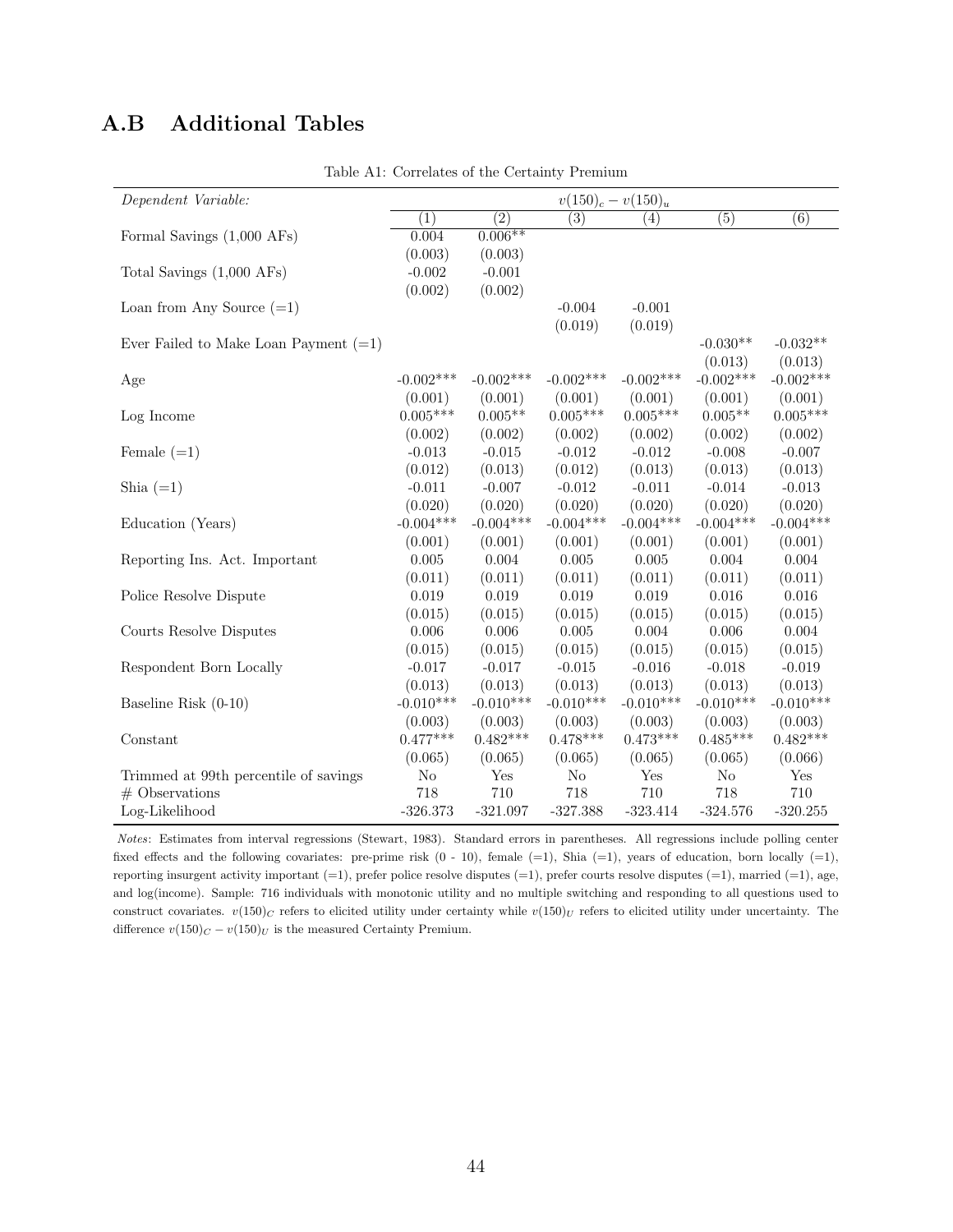## A.B Additional Tables

| Dependent Variable:                     |                  |                  | $v(150)_c - v(150)_u$ |             |                  |                  |
|-----------------------------------------|------------------|------------------|-----------------------|-------------|------------------|------------------|
|                                         | $\overline{(1)}$ | $\overline{(2)}$ | $\overline{(3)}$      | (4)         | $\overline{(5)}$ | $\overline{(6)}$ |
| Formal Savings (1,000 AFs)              | 0.004            | $0.006**$        |                       |             |                  |                  |
|                                         | (0.003)          | (0.003)          |                       |             |                  |                  |
| Total Savings (1,000 AFs)               | $-0.002$         | $-0.001$         |                       |             |                  |                  |
|                                         | (0.002)          | (0.002)          |                       |             |                  |                  |
| Loan from Any Source $(=1)$             |                  |                  | $-0.004$              | $-0.001$    |                  |                  |
|                                         |                  |                  | (0.019)               | (0.019)     |                  |                  |
| Ever Failed to Make Loan Payment $(=1)$ |                  |                  |                       |             | $-0.030**$       | $-0.032**$       |
|                                         |                  |                  |                       |             | (0.013)          | (0.013)          |
| Age                                     | $-0.002$ ***     | $-0.002***$      | $-0.002***$           | $-0.002***$ | $-0.002***$      | $-0.002***$      |
|                                         | (0.001)          | (0.001)          | (0.001)               | (0.001)     | (0.001)          | (0.001)          |
| Log Income                              | $0.005***$       | $0.005**$        | $0.005***$            | $0.005***$  | $0.005**$        | $0.005***$       |
|                                         | (0.002)          | (0.002)          | (0.002)               | (0.002)     | (0.002)          | (0.002)          |
| Female $(=1)$                           | $-0.013$         | $-0.015$         | $-0.012$              | $-0.012$    | $-0.008$         | $-0.007$         |
|                                         | (0.012)          | (0.013)          | (0.012)               | (0.013)     | (0.013)          | (0.013)          |
| Shia $(=1)$                             | $-0.011$         | $-0.007$         | $-0.012$              | $-0.011$    | $-0.014$         | $-0.013$         |
|                                         | (0.020)          | (0.020)          | (0.020)               | (0.020)     | (0.020)          | (0.020)          |
| Education (Years)                       | $-0.004***$      | $-0.004***$      | $-0.004***$           | $-0.004***$ | $-0.004***$      | $-0.004***$      |
|                                         | (0.001)          | (0.001)          | (0.001)               | (0.001)     | (0.001)          | (0.001)          |
| Reporting Ins. Act. Important           | 0.005            | 0.004            | 0.005                 | 0.005       | 0.004            | 0.004            |
|                                         | (0.011)          | (0.011)          | (0.011)               | (0.011)     | (0.011)          | (0.011)          |
| Police Resolve Dispute                  | 0.019            | 0.019            | 0.019                 | 0.019       | 0.016            | 0.016            |
|                                         | (0.015)          | (0.015)          | (0.015)               | (0.015)     | (0.015)          | (0.015)          |
| Courts Resolve Disputes                 | 0.006            | 0.006            | 0.005                 | 0.004       | 0.006            | 0.004            |
|                                         | (0.015)          | (0.015)          | (0.015)               | (0.015)     | (0.015)          | (0.015)          |
| Respondent Born Locally                 | $-0.017$         | $-0.017$         | $-0.015$              | $-0.016$    | $-0.018$         | $-0.019$         |
|                                         | (0.013)          | (0.013)          | (0.013)               | (0.013)     | (0.013)          | (0.013)          |
| Baseline Risk (0-10)                    | $-0.010***$      | $-0.010***$      | $-0.010***$           | $-0.010***$ | $-0.010***$      | $-0.010***$      |
|                                         | (0.003)          | (0.003)          | (0.003)               | (0.003)     | (0.003)          | (0.003)          |
| Constant                                | $0.477***$       | $0.482***$       | $0.478***$            | $0.473***$  | $0.485***$       | $0.482***$       |
|                                         | (0.065)          | (0.065)          | (0.065)               | (0.065)     | (0.065)          | (0.066)          |
| Trimmed at 99th percentile of savings   | No               | Yes              | $\rm No$              | Yes         | No               | Yes              |
| $#$ Observations                        | 718              | 710              | 718                   | 710         | 718              | 710              |
| Log-Likelihood                          | $-326.373$       | $-321.097$       | $-327.388$            | $-323.414$  | $-324.576$       | $-320.255$       |

Table A1: Correlates of the Certainty Premium

*Notes*: Estimates from interval regressions (Stewart, 1983). Standard errors in parentheses. All regressions include polling center fixed effects and the following covariates: pre-prime risk  $(0 - 10)$ , female  $(=1)$ , Shia  $(=1)$ , years of education, born locally  $(=1)$ , reporting insurgent activity important  $(=1)$ , prefer police resolve disputes  $(=1)$ , prefer courts resolve disputes  $(=1)$ , married  $(=1)$ , age, and log(income). Sample: 716 individuals with monotonic utility and no multiple switching and responding to all questions used to construct covariates.  $v(150)_C$  refers to elicited utility under certainty while  $v(150)_U$  refers to elicited utility under uncertainty. The difference  $v(150)_C - v(150)_U$  is the measured Certainty Premium.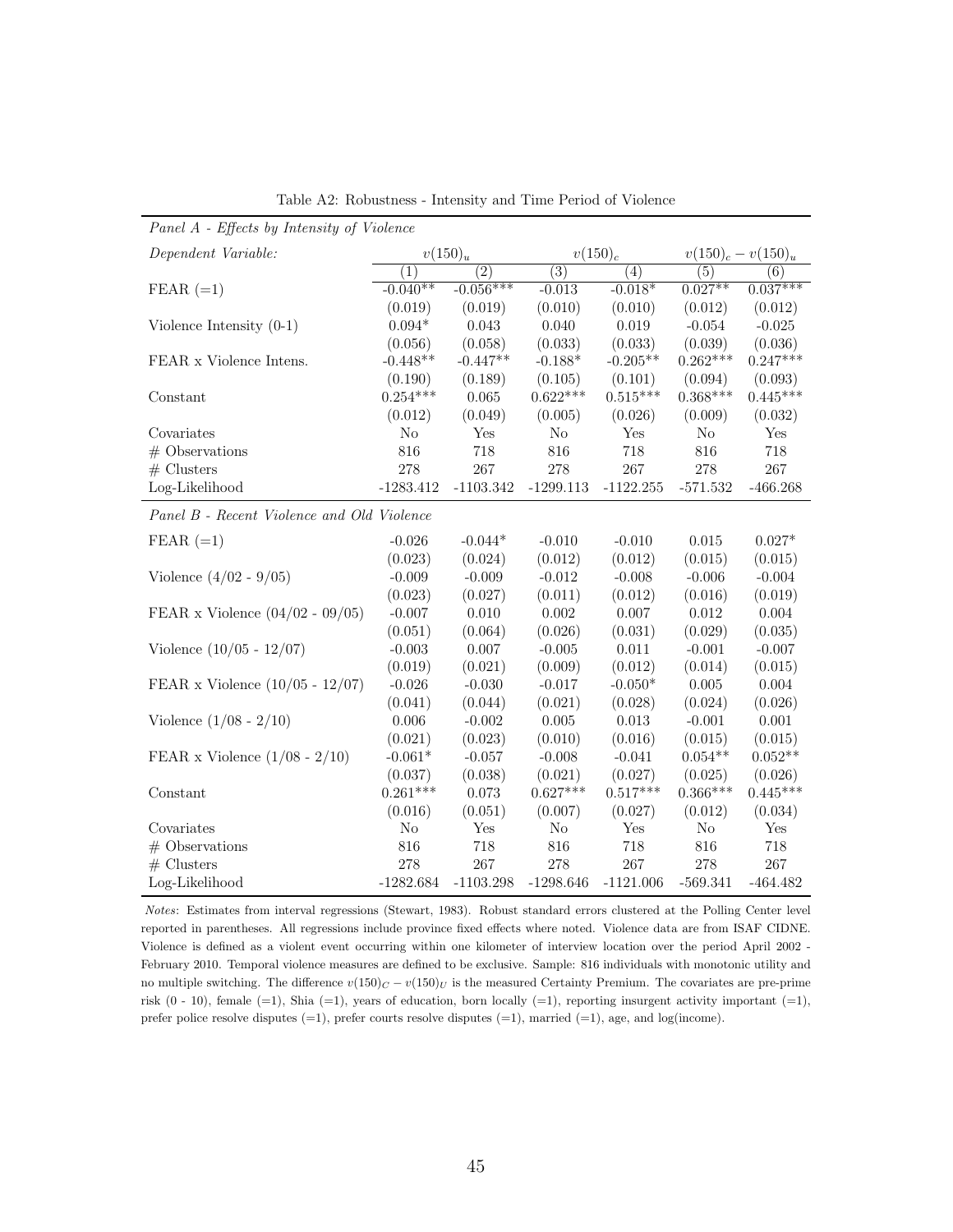| Panel A - Effects by Intensity of Violence |                |                  |                  |                  |                  |                       |  |
|--------------------------------------------|----------------|------------------|------------------|------------------|------------------|-----------------------|--|
| Dependent Variable:                        |                | $v(150)_u$       |                  | $v(150)_c$       |                  | $v(150)_c - v(150)_u$ |  |
|                                            | (1)            | $\overline{(2)}$ | $\overline{(3)}$ | $\overline{(4)}$ | $\overline{(5)}$ | (6)                   |  |
| $FEAR (=1)$                                | $-0.040**$     | $-0.056***$      | $-0.013$         | $-0.018*$        | $0.027**$        | $0.037***$            |  |
|                                            | (0.019)        | (0.019)          | (0.010)          | (0.010)          | (0.012)          | (0.012)               |  |
| Violence Intensity $(0-1)$                 | $0.094*$       | 0.043            | 0.040            | 0.019            | $-0.054$         | $-0.025$              |  |
|                                            | (0.056)        | (0.058)          | (0.033)          | (0.033)          | (0.039)          | (0.036)               |  |
| FEAR x Violence Intens.                    | $-0.448**$     | $-0.447**$       | $-0.188*$        | $-0.205**$       | $0.262***$       | $0.247***$            |  |
|                                            | (0.190)        | (0.189)          | (0.105)          | (0.101)          | (0.094)          | (0.093)               |  |
| Constant                                   | $0.254***$     | 0.065            | $0.622***$       | $0.515***$       | $0.368***$       | $0.445***$            |  |
|                                            | (0.012)        | (0.049)          | (0.005)          | (0.026)          | (0.009)          | (0.032)               |  |
| Covariates                                 | N <sub>o</sub> | Yes              | $\rm No$         | Yes              | $\rm No$         | Yes                   |  |
| $#$ Observations                           | 816            | 718              | 816              | 718              | 816              | 718                   |  |
| $#$ Clusters                               | 278            | 267              | 278              | 267              | 278              | 267                   |  |
| Log-Likelihood                             | $-1283.412$    | $-1103.342$      | $-1299.113$      | $-1122.255$      | $-571.532$       | $-466.268$            |  |
| Panel B - Recent Violence and Old Violence |                |                  |                  |                  |                  |                       |  |
| $FEAR (=1)$                                | $-0.026$       | $-0.044*$        | $-0.010$         | $-0.010$         | 0.015            | $0.027*$              |  |
|                                            | (0.023)        | (0.024)          | (0.012)          | (0.012)          | (0.015)          | (0.015)               |  |
| Violence $(4/02 - 9/05)$                   | $-0.009$       | $-0.009$         | $-0.012$         | $-0.008$         | $-0.006$         | $-0.004$              |  |
|                                            | (0.023)        | (0.027)          | (0.011)          | (0.012)          | (0.016)          | (0.019)               |  |
| FEAR x Violence $(04/02 - 09/05)$          | $-0.007$       | 0.010            | 0.002            | 0.007            | 0.012            | 0.004                 |  |
|                                            | (0.051)        | (0.064)          | (0.026)          | (0.031)          | (0.029)          | (0.035)               |  |
| Violence $(10/05 - 12/07)$                 | $-0.003$       | 0.007            | $-0.005$         | 0.011            | $-0.001$         | $-0.007$              |  |
|                                            | (0.019)        | (0.021)          | (0.009)          | (0.012)          | (0.014)          | (0.015)               |  |
| FEAR x Violence $(10/05 - 12/07)$          | $-0.026$       | $-0.030$         | $-0.017$         | $-0.050*$        | 0.005            | 0.004                 |  |
|                                            | (0.041)        | (0.044)          | (0.021)          | (0.028)          | (0.024)          | (0.026)               |  |
| Violence $(1/08 - 2/10)$                   | 0.006          | $-0.002$         | 0.005            | 0.013            | $-0.001$         | 0.001                 |  |
|                                            | (0.021)        | (0.023)          | (0.010)          | (0.016)          | (0.015)          | (0.015)               |  |
| FEAR x Violence $(1/08 - 2/10)$            | $-0.061*$      | $-0.057$         | $-0.008$         | $-0.041$         | $0.054**$        | $0.052**$             |  |
|                                            | (0.037)        | (0.038)          | (0.021)          | (0.027)          | (0.025)          | (0.026)               |  |
| Constant                                   | $0.261***$     | 0.073            | $0.627***$       | $0.517***$       | $0.366***$       | $0.445***$            |  |
|                                            | (0.016)        | (0.051)          | (0.007)          | (0.027)          | (0.012)          | (0.034)               |  |
| Covariates                                 | $\rm No$       | Yes              | No               | Yes              | $\rm No$         | Yes                   |  |
| $#$ Observations                           | 816            | 718              | 816              | 718              | 816              | 718                   |  |
| $#$ Clusters                               | 278            | 267              | 278              | 267              | 278              | 267                   |  |
| Log-Likelihood                             | $-1282.684$    | $-1103.298$      | $-1298.646$      | $-1121.006$      | $-569.341$       | $-464.482$            |  |

Table A2: Robustness - Intensity and Time Period of Violence

*Notes*: Estimates from interval regressions (Stewart, 1983). Robust standard errors clustered at the Polling Center level reported in parentheses. All regressions include province fixed effects where noted. Violence data are from ISAF CIDNE. Violence is defined as a violent event occurring within one kilometer of interview location over the period April 2002 - February 2010. Temporal violence measures are defined to be exclusive. Sample: 816 individuals with monotonic utility and no multiple switching. The difference  $v(150)_C - v(150)_U$  is the measured Certainty Premium. The covariates are pre-prime risk  $(0 - 10)$ , female  $(=1)$ , Shia  $(=1)$ , years of education, born locally  $(=1)$ , reporting insurgent activity important  $(=1)$ , prefer police resolve disputes  $(=1)$ , prefer courts resolve disputes  $(=1)$ , married  $(=1)$ , age, and log(income).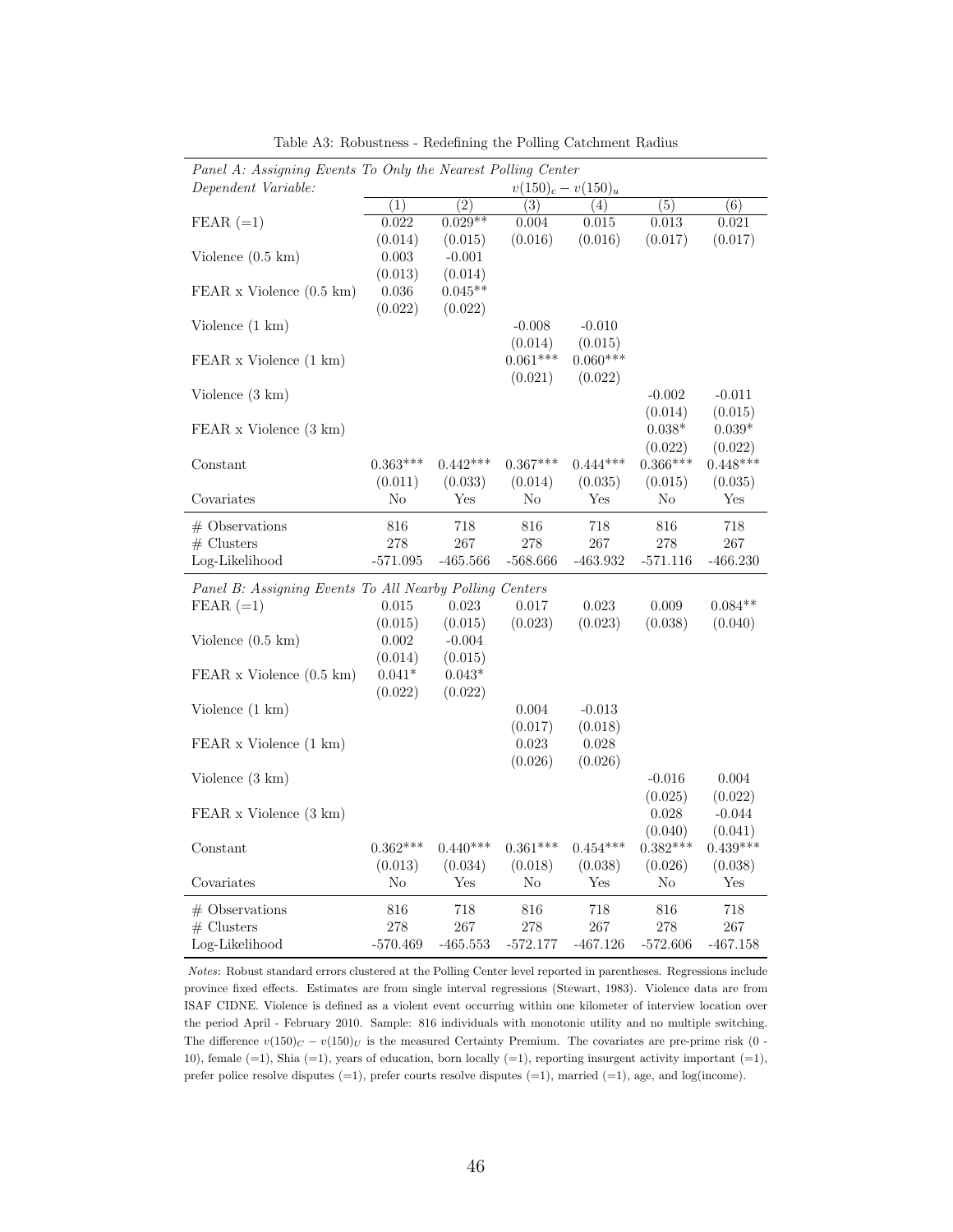| Panel A: Assigning Events To Only the Nearest Polling Center<br>Dependent Variable: |                  |            |            | $v(150)_c - v(150)_u$ |                  |                  |
|-------------------------------------------------------------------------------------|------------------|------------|------------|-----------------------|------------------|------------------|
|                                                                                     | $\overline{(1)}$ | (2)        | (3)        | (4)                   | $\overline{(5)}$ | $\overline{(6)}$ |
| $FEAR (=1)$                                                                         | 0.022            | $0.029**$  | 0.004      | 0.015                 | 0.013            | 0.021            |
|                                                                                     | (0.014)          | (0.015)    | (0.016)    | (0.016)               | (0.017)          | (0.017)          |
| Violence $(0.5 \text{ km})$                                                         | 0.003            | $-0.001$   |            |                       |                  |                  |
|                                                                                     | (0.013)          | (0.014)    |            |                       |                  |                  |
| FEAR x Violence (0.5 km)                                                            | 0.036            | $0.045**$  |            |                       |                  |                  |
|                                                                                     | (0.022)          | (0.022)    |            |                       |                  |                  |
| Violence $(1 \text{ km})$                                                           |                  |            | $-0.008$   | $-0.010$              |                  |                  |
|                                                                                     |                  |            | (0.014)    | (0.015)               |                  |                  |
| FEAR x Violence (1 km)                                                              |                  |            | $0.061***$ | $0.060***$            |                  |                  |
|                                                                                     |                  |            | (0.021)    | (0.022)               |                  |                  |
| Violence $(3 \text{ km})$                                                           |                  |            |            |                       | $-0.002$         | $-0.011$         |
|                                                                                     |                  |            |            |                       | (0.014)          | (0.015)          |
| FEAR x Violence (3 km)                                                              |                  |            |            |                       | $0.038^{\ast}$   | $0.039^{\ast}$   |
|                                                                                     |                  |            |            |                       | (0.022)          | (0.022)          |
| Constant                                                                            | $0.363***$       | $0.442***$ | $0.367***$ | $0.444***$            | $0.366***$       | $0.448***$       |
|                                                                                     | (0.011)          | (0.033)    | (0.014)    | (0.035)               | (0.015)          | (0.035)          |
| Covariates                                                                          | No               | Yes        | No         | Yes                   | No               | Yes              |
| $#$ Observations                                                                    | 816              | 718        | 816        | 718                   | 816              | 718              |
| $#$ Clusters                                                                        | 278              | 267        | 278        | 267                   | 278              | 267              |
| Log-Likelihood                                                                      | $-571.095$       | $-465.566$ | $-568.666$ | $-463.932$            | $-571.116$       | $-466.230$       |
| Panel B: Assigning Events To All Nearby Polling Centers                             |                  |            |            |                       |                  |                  |
| $FEAR (=1)$                                                                         | 0.015            | 0.023      | 0.017      | 0.023                 | 0.009            | $0.084**$        |
|                                                                                     | (0.015)          | (0.015)    | (0.023)    | (0.023)               | (0.038)          | (0.040)          |
| Violence $(0.5 \text{ km})$                                                         | 0.002            | $-0.004$   |            |                       |                  |                  |
|                                                                                     | (0.014)          | (0.015)    |            |                       |                  |                  |
| $FEAR x$ Violence $(0.5 \text{ km})$                                                | $0.041*$         | $0.043*$   |            |                       |                  |                  |
|                                                                                     | (0.022)          | (0.022)    |            |                       |                  |                  |
| Violence $(1 \text{ km})$                                                           |                  |            | 0.004      | $-0.013$              |                  |                  |
|                                                                                     |                  |            | (0.017)    | (0.018)               |                  |                  |
| FEAR x Violence (1 km)                                                              |                  |            | 0.023      | 0.028                 |                  |                  |
|                                                                                     |                  |            | (0.026)    | (0.026)               |                  |                  |
| Violence $(3 \text{ km})$                                                           |                  |            |            |                       | $-0.016$         | 0.004            |
|                                                                                     |                  |            |            |                       | (0.025)          | (0.022)          |
| FEAR x Violence (3 km)                                                              |                  |            |            |                       | 0.028            | $-0.044$         |
|                                                                                     |                  |            |            |                       | (0.040)          | (0.041)          |
| Constant                                                                            | $0.362***$       | $0.440***$ | $0.361***$ | $0.454***$            | $0.382***$       | $0.439***$       |
|                                                                                     | (0.013)          | (0.034)    | (0.018)    | (0.038)               | (0.026)          | (0.038)          |
| Covariates                                                                          | No               | Yes        | No         | Yes                   | No               | Yes              |
| $#$ Observations                                                                    | 816              | 718        | 816        | 718                   | 816              | 718              |
| $#$ Clusters                                                                        | 278              | 267        | 278        | 267                   | 278              | 267              |
| Log-Likelihood                                                                      | -570.469         | $-465.553$ | $-572.177$ | -467.126              | $-572.606$       | -467.158         |

Table A3: Robustness - Redefining the Polling Catchment Radius

*Notes*: Robust standard errors clustered at the Polling Center level reported in parentheses. Regressions include province fixed effects. Estimates are from single interval regressions (Stewart, 1983). Violence data are from ISAF CIDNE. Violence is defined as a violent event occurring within one kilometer of interview location over the period April - February 2010. Sample: 816 individuals with monotonic utility and no multiple switching. The difference  $v(150)_C - v(150)_U$  is the measured Certainty Premium. The covariates are pre-prime risk (0 -10), female  $(=1)$ , Shia  $(=1)$ , years of education, born locally  $(=1)$ , reporting insurgent activity important  $(=1)$ , prefer police resolve disputes (=1), prefer courts resolve disputes (=1), married (=1), age, and log(income).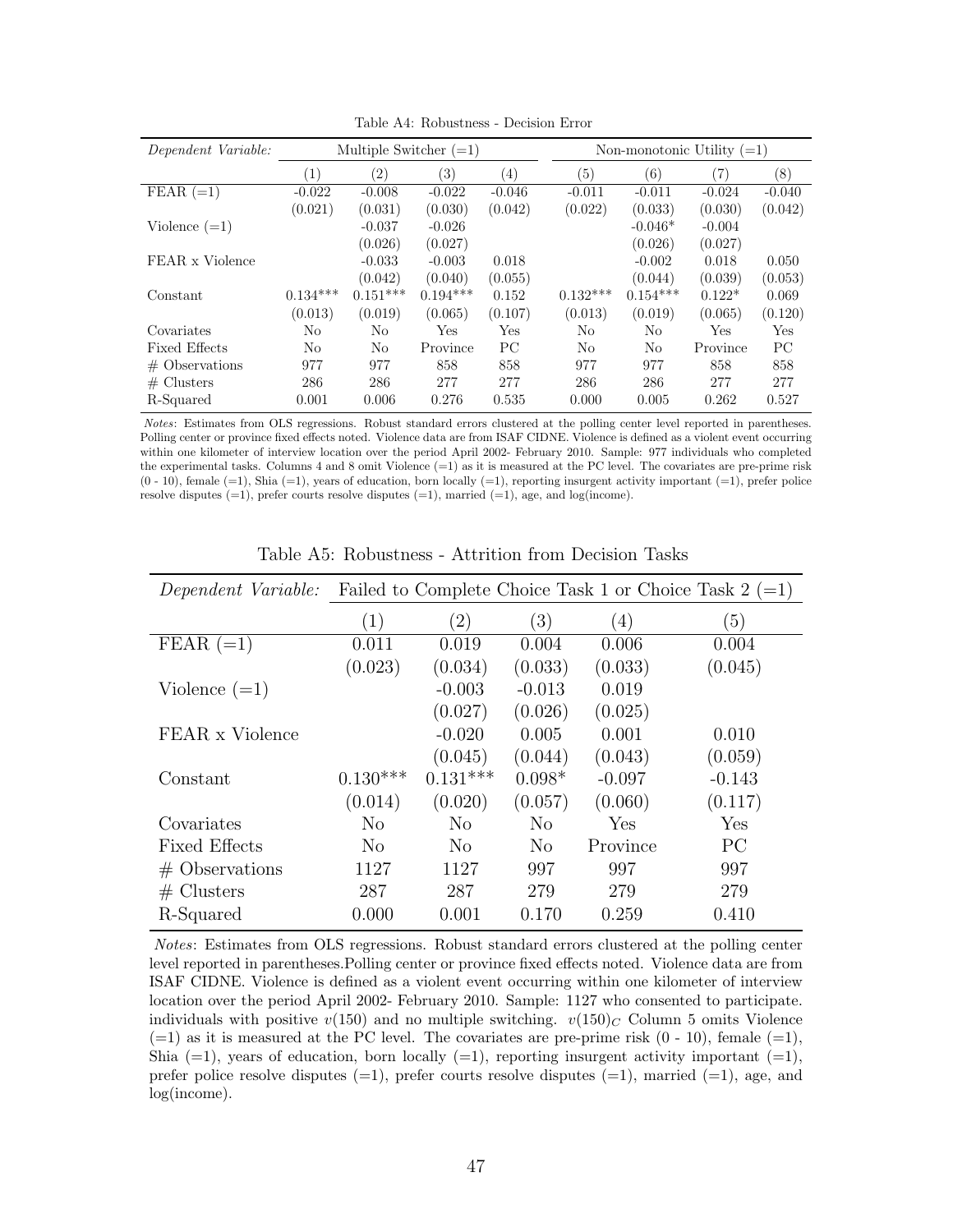| Dependent Variable:          | Multiple Switcher $(=1)$ |                   |            |                  |            |            | Non-monotonic Utility $(=1)$ |          |
|------------------------------|--------------------------|-------------------|------------|------------------|------------|------------|------------------------------|----------|
|                              | (1)                      | $\left( 2\right)$ | 3)         | $\left(4\right)$ | (5)        | (6)        | 7)                           | (8)      |
| $\overline{\text{FEAR}(-1)}$ | $-0.022$                 | $-0.008$          | $-0.022$   | $-0.046$         | $-0.011$   | $-0.011$   | $-0.024$                     | $-0.040$ |
|                              | (0.021)                  | (0.031)           | (0.030)    | (0.042)          | (0.022)    | (0.033)    | (0.030)                      | (0.042)  |
| Violence $(=1)$              |                          | $-0.037$          | $-0.026$   |                  |            | $-0.046*$  | $-0.004$                     |          |
|                              |                          | (0.026)           | (0.027)    |                  |            | (0.026)    | (0.027)                      |          |
| FEAR x Violence              |                          | $-0.033$          | $-0.003$   | 0.018            |            | $-0.002$   | 0.018                        | 0.050    |
|                              |                          | (0.042)           | (0.040)    | (0.055)          |            | (0.044)    | (0.039)                      | (0.053)  |
| Constant                     | $0.134***$               | $0.151***$        | $0.194***$ | 0.152            | $0.132***$ | $0.154***$ | $0.122*$                     | 0.069    |
|                              | (0.013)                  | (0.019)           | (0.065)    | (0.107)          | (0.013)    | (0.019)    | (0.065)                      | (0.120)  |
| Covariates                   | No                       | No                | Yes        | Yes              | No         | No         | Yes                          | Yes      |
| <b>Fixed Effects</b>         | N <sub>o</sub>           | No                | Province   | PC               | No         | No         | Province                     | PC.      |
| $#$ Observations             | 977                      | 977               | 858        | 858              | 977        | 977        | 858                          | 858      |
| # Clusters                   | 286                      | 286               | 277        | 277              | 286        | 286        | 277                          | 277      |
| R-Squared                    | 0.001                    | 0.006             | 0.276      | 0.535            | 0.000      | 0.005      | 0.262                        | 0.527    |

Table A4: Robustness - Decision Error

*Notes*: Estimates from OLS regressions. Robust standard errors clustered at the polling center level reported in parentheses. Polling center or province fixed effects noted. Violence data are from ISAF CIDNE. Violence is defined as a violent event occurring within one kilometer of interview location over the period April 2002- February 2010. Sample: 977 individuals who completed the experimental tasks. Columns 4 and 8 omit Violence (=1) as it is measured at the PC level. The covariates are pre-prime risk  $(0 - 10)$ , female  $(=1)$ , Shia  $(=1)$ , years of education, born locally  $(=1)$ , reporting insurgent activity important  $(=1)$ , prefer police resolve disputes  $(=1)$ , prefer courts resolve disputes  $(=1)$ , married  $(=1)$ , age, and log(income).

| Dependent Variable:  |                  |                |                  |          | Failed to Complete Choice Task 1 or Choice Task $2 (=1)$ |
|----------------------|------------------|----------------|------------------|----------|----------------------------------------------------------|
|                      | $\left(1\right)$ | $^{\prime}2)$  | $\left(3\right)$ | (4)      | $\left(5\right)$                                         |
| $FEAR (=1)$          | 0.011            | 0.019          | 0.004            | 0.006    | 0.004                                                    |
|                      | (0.023)          | (0.034)        | (0.033)          | (0.033)  | (0.045)                                                  |
| Violence $(=1)$      |                  | $-0.003$       | $-0.013$         | 0.019    |                                                          |
|                      |                  | (0.027)        | (0.026)          | (0.025)  |                                                          |
| FEAR x Violence      |                  | $-0.020$       | 0.005            | 0.001    | 0.010                                                    |
|                      |                  | (0.045)        | (0.044)          | (0.043)  | (0.059)                                                  |
| Constant             | $0.130***$       | $0.131***$     | $0.098*$         | $-0.097$ | $-0.143$                                                 |
|                      | (0.014)          | (0.020)        | (0.057)          | (0.060)  | (0.117)                                                  |
| Covariates           | No               | No             | N <sub>o</sub>   | Yes      | Yes                                                      |
| <b>Fixed Effects</b> | N <sub>o</sub>   | N <sub>o</sub> | N <sub>0</sub>   | Province | PC                                                       |
| $#$ Observations     | 1127             | 1127           | 997              | 997      | 997                                                      |
| $#$ Clusters         | 287              | 287            | 279              | 279      | 279                                                      |
| R-Squared            | 0.000            | 0.001          | 0.170            | 0.259    | 0.410                                                    |

Table A5: Robustness - Attrition from Decision Tasks

*Notes*: Estimates from OLS regressions. Robust standard errors clustered at the polling center level reported in parentheses. Polling center or province fixed effects noted. Violence data are from ISAF CIDNE. Violence is defined as a violent event occurring within one kilometer of interview location over the period April 2002- February 2010. Sample: 1127 who consented to participate. individuals with positive  $v(150)$  and no multiple switching.  $v(150)_C$  Column 5 omits Violence  $(=1)$  as it is measured at the PC level. The covariates are pre-prime risk  $(0 - 10)$ , female  $(=1)$ , Shia  $(=1)$ , years of education, born locally  $(=1)$ , reporting insurgent activity important  $(=1)$ , prefer police resolve disputes  $(=1)$ , prefer courts resolve disputes  $(=1)$ , married  $(=1)$ , age, and log(income).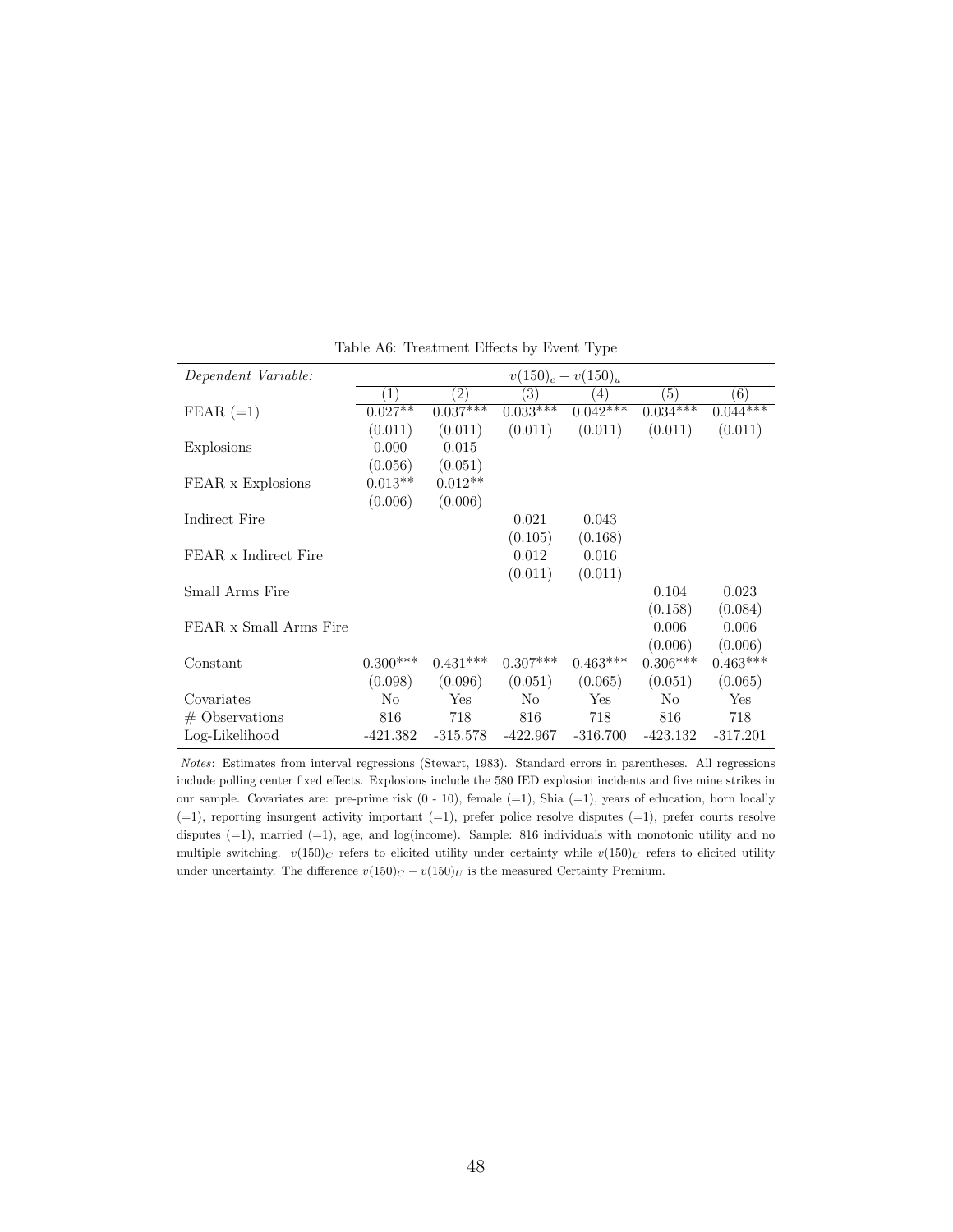| Dependent Variable:    | $v(150)_c - v(150)_u$ |                   |                  |                  |                  |            |  |
|------------------------|-----------------------|-------------------|------------------|------------------|------------------|------------|--|
|                        | $\left(1\right)$      | $\left( 2\right)$ | $\overline{(3)}$ | $\left(4\right)$ | $\overline{(5)}$ | (6)        |  |
| $FEAR (=1)$            | $0.027**$             | $0.037***$        | $0.033***$       | $0.042***$       | $0.034***$       | $0.044***$ |  |
|                        | (0.011)               | (0.011)           | (0.011)          | (0.011)          | (0.011)          | (0.011)    |  |
| Explosions             | 0.000                 | 0.015             |                  |                  |                  |            |  |
|                        | (0.056)               | (0.051)           |                  |                  |                  |            |  |
| FEAR x Explosions      | $0.013**$             | $0.012**$         |                  |                  |                  |            |  |
|                        | (0.006)               | (0.006)           |                  |                  |                  |            |  |
| Indirect Fire          |                       |                   | 0.021            | 0.043            |                  |            |  |
|                        |                       |                   | (0.105)          | (0.168)          |                  |            |  |
| FEAR x Indirect Fire   |                       |                   | 0.012            | 0.016            |                  |            |  |
|                        |                       |                   | (0.011)          | (0.011)          |                  |            |  |
| Small Arms Fire        |                       |                   |                  |                  | 0.104            | 0.023      |  |
|                        |                       |                   |                  |                  | (0.158)          | (0.084)    |  |
| FEAR x Small Arms Fire |                       |                   |                  |                  | 0.006            | 0.006      |  |
|                        |                       |                   |                  |                  | (0.006)          | (0.006)    |  |
| Constant               | $0.300***$            | $0.431***$        | $0.307***$       | $0.463***$       | $0.306***$       | $0.463***$ |  |
|                        | (0.098)               | (0.096)           | (0.051)          | (0.065)          | (0.051)          | (0.065)    |  |
| Covariates             | No                    | Yes               | N <sub>o</sub>   | Yes              | N <sub>o</sub>   | Yes        |  |
| $#$ Observations       | 816                   | 718               | 816              | 718              | 816              | 718        |  |
| Log-Likelihood         | -421.382              | $-315.578$        | $-422.967$       | $-316.700$       | -423.132         | $-317.201$ |  |

Table A6: Treatment Effects by Event Type

*Notes*: Estimates from interval regressions (Stewart, 1983). Standard errors in parentheses. All regressions include polling center fixed effects. Explosions include the 580 IED explosion incidents and five mine strikes in our sample. Covariates are: pre-prime risk (0 - 10), female (=1), Shia (=1), years of education, born locally  $(-1)$ , reporting insurgent activity important  $(-1)$ , prefer police resolve disputes  $(-1)$ , prefer courts resolve disputes (=1), married (=1), age, and log(income). Sample: 816 individuals with monotonic utility and no multiple switching.  $v(150)_C$  refers to elicited utility under certainty while  $v(150)_U$  refers to elicited utility under uncertainty. The difference  $v(150)_C - v(150)_U$  is the measured Certainty Premium.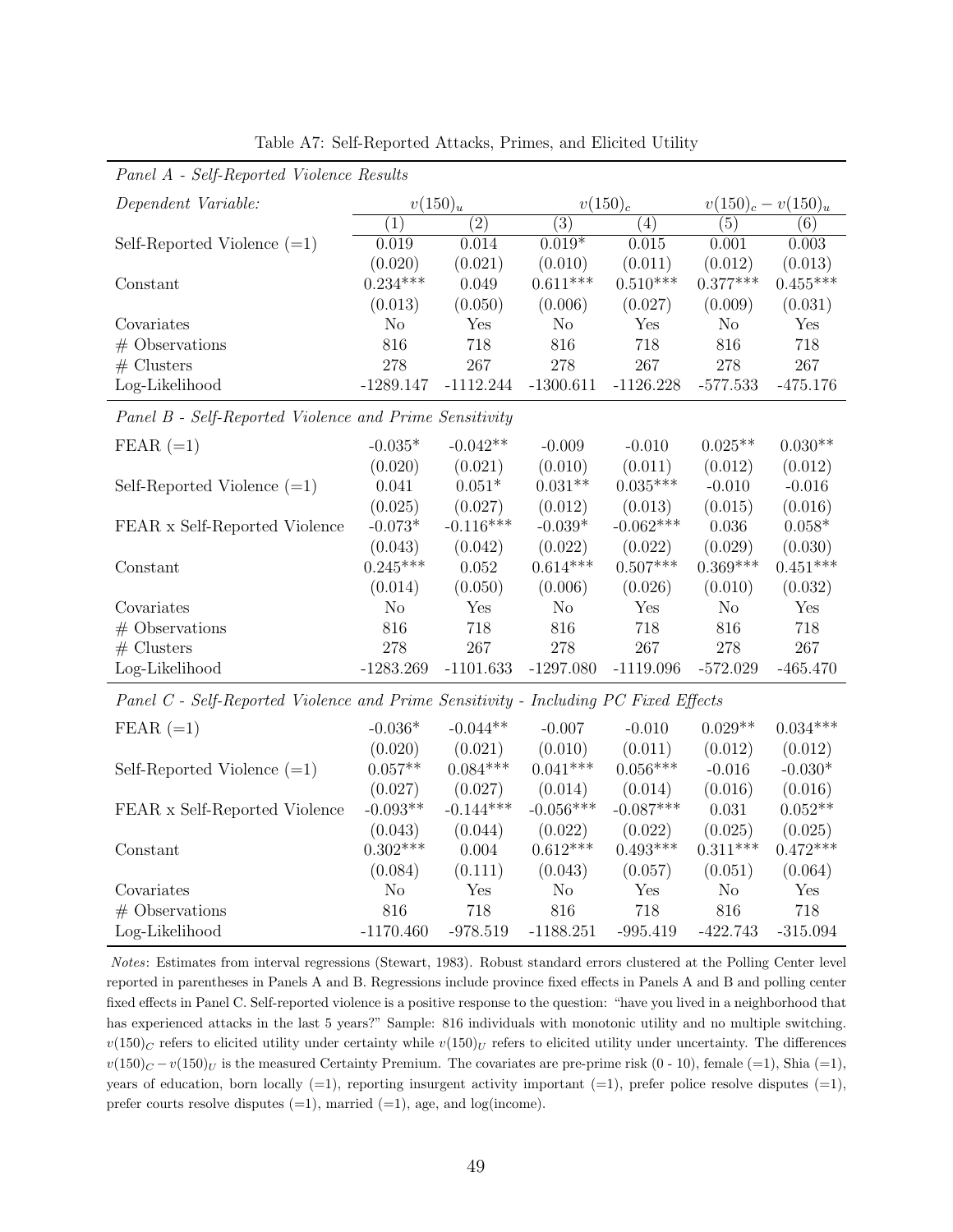| Panel A - Self-Reported Violence Results                                            |                |                  |                  |             |                       |                   |  |  |
|-------------------------------------------------------------------------------------|----------------|------------------|------------------|-------------|-----------------------|-------------------|--|--|
| Dependent Variable:                                                                 |                | $v(150)_u$       |                  | $v(150)_c$  | $v(150)_c - v(150)_u$ |                   |  |  |
|                                                                                     | (1)            | $\overline{(2)}$ | $\overline{(3)}$ | (4)         | (5)                   | $\left( 6\right)$ |  |  |
| Self-Reported Violence $(=1)$                                                       | 0.019          | 0.014            | $0.019*$         | 0.015       | 0.001                 | 0.003             |  |  |
|                                                                                     | (0.020)        | (0.021)          | (0.010)          | (0.011)     | (0.012)               | (0.013)           |  |  |
| Constant                                                                            | $0.234***$     | 0.049            | $0.611***$       | $0.510***$  | $0.377***$            | $0.455***$        |  |  |
|                                                                                     | (0.013)        | (0.050)          | (0.006)          | (0.027)     | (0.009)               | (0.031)           |  |  |
| Covariates                                                                          | N <sub>o</sub> | Yes              | N <sub>o</sub>   | Yes         | N <sub>o</sub>        | Yes               |  |  |
| $#$ Observations                                                                    | 816            | 718              | 816              | 718         | 816                   | 718               |  |  |
| $#$ Clusters                                                                        | 278            | 267              | 278              | 267         | 278                   | 267               |  |  |
| Log-Likelihood                                                                      | $-1289.147$    | $-1112.244$      | $-1300.611$      | $-1126.228$ | $-577.533$            | $-475.176$        |  |  |
| Panel B - Self-Reported Violence and Prime Sensitivity                              |                |                  |                  |             |                       |                   |  |  |
| $FEAR (=1)$                                                                         | $-0.035*$      | $-0.042**$       | $-0.009$         | $-0.010$    | $0.025**$             | $0.030**$         |  |  |
|                                                                                     | (0.020)        | (0.021)          | (0.010)          | (0.011)     | (0.012)               | (0.012)           |  |  |
| Self-Reported Violence $(=1)$                                                       | 0.041          | $0.051*$         | $0.031**$        | $0.035***$  | $-0.010$              | $-0.016$          |  |  |
|                                                                                     | (0.025)        | (0.027)          | (0.012)          | (0.013)     | (0.015)               | (0.016)           |  |  |
| FEAR x Self-Reported Violence                                                       | $-0.073*$      | $-0.116***$      | $-0.039*$        | $-0.062***$ | 0.036                 | $0.058*$          |  |  |
|                                                                                     | (0.043)        | (0.042)          | (0.022)          | (0.022)     | (0.029)               | (0.030)           |  |  |
| Constant                                                                            | $0.245***$     | 0.052            | $0.614***$       | $0.507***$  | $0.369***$            | $0.451***$        |  |  |
|                                                                                     | (0.014)        | (0.050)          | (0.006)          | (0.026)     | (0.010)               | (0.032)           |  |  |
| Covariates                                                                          | N <sub>o</sub> | Yes              | N <sub>o</sub>   | Yes         | N <sub>o</sub>        | Yes               |  |  |
| $#$ Observations                                                                    | 816            | 718              | 816              | 718         | 816                   | 718               |  |  |
| $#$ Clusters                                                                        | 278            | 267              | 278              | 267         | 278                   | 267               |  |  |
| Log-Likelihood                                                                      | $-1283.269$    | $-1101.633$      | $-1297.080$      | $-1119.096$ | $-572.029$            | $-465.470$        |  |  |
| Panel C - Self-Reported Violence and Prime Sensitivity - Including PC Fixed Effects |                |                  |                  |             |                       |                   |  |  |
| $FEAR (=1)$                                                                         | $-0.036*$      | $-0.044**$       | $-0.007$         | $-0.010$    | $0.029**$             | $0.034***$        |  |  |
|                                                                                     | (0.020)        | (0.021)          | (0.010)          | (0.011)     | (0.012)               | (0.012)           |  |  |
| Self-Reported Violence $(=1)$                                                       | $0.057**$      | $0.084***$       | $0.041***$       | $0.056***$  | $-0.016$              | $-0.030*$         |  |  |
|                                                                                     | (0.027)        | (0.027)          | (0.014)          | (0.014)     | (0.016)               | (0.016)           |  |  |
| FEAR x Self-Reported Violence                                                       | $-0.093**$     | $-0.144***$      | $-0.056***$      | $-0.087***$ | 0.031                 | $0.052**$         |  |  |
|                                                                                     | (0.043)        | (0.044)          | (0.022)          | (0.022)     | (0.025)               | (0.025)           |  |  |
| Constant                                                                            | $0.302***$     | 0.004            | $0.612***$       | $0.493***$  | $0.311***$            | $0.472***$        |  |  |
|                                                                                     | (0.084)        | (0.111)          | (0.043)          | (0.057)     | (0.051)               | (0.064)           |  |  |
| Covariates                                                                          | N <sub>o</sub> | Yes              | N <sub>o</sub>   | Yes         | N <sub>o</sub>        | Yes               |  |  |
| $#$ Observations                                                                    | 816            | 718              | 816              | 718         | 816                   | 718               |  |  |
| Log-Likelihood                                                                      | $-1170.460$    | $-978.519$       | $-1188.251$      | $-995.419$  | $-422.743$            | $-315.094$        |  |  |

Table A7: Self-Reported Attacks, Primes, and Elicited Utility

*Notes*: Estimates from interval regressions (Stewart, 1983). Robust standard errors clustered at the Polling Center level reported in parentheses in Panels A and B. Regressions include province fixed effects in Panels A and B and polling center fixed effects in Panel C. Self-reported violence is a positive response to the question: "have you lived in a neighborhood that has experienced attacks in the last 5 years?" Sample: 816 individuals with monotonic utility and no multiple switching.  $v(150)_C$  refers to elicited utility under certainty while  $v(150)_U$  refers to elicited utility under uncertainty. The differences  $v(150)_{C} - v(150)_{U}$  is the measured Certainty Premium. The covariates are pre-prime risk  $(0 - 10)$ , female  $(=1)$ , Shia  $(=1)$ , years of education, born locally  $(=1)$ , reporting insurgent activity important  $(=1)$ , prefer police resolve disputes  $(=1)$ , prefer courts resolve disputes  $(=1)$ , married  $(=1)$ , age, and log(income).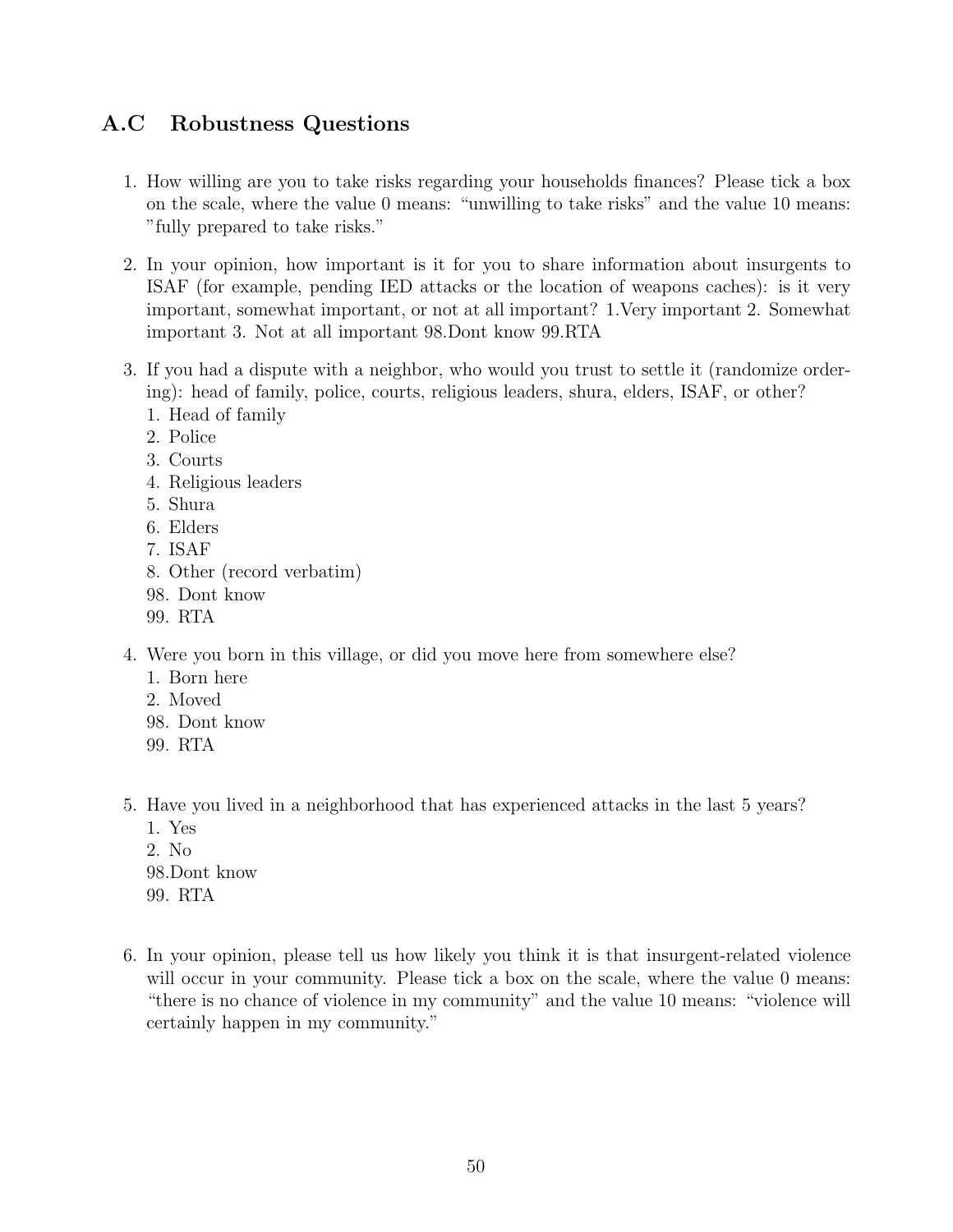## A.C Robustness Questions

- 1. How willing are you to take risks regarding your households finances? Please tick a box on the scale, where the value 0 means: "unwilling to take risks" and the value 10 means: "fully prepared to take risks."
- 2. In your opinion, how important is it for you to share information about insurgents to ISAF (for example, pending IED attacks or the location of weapons caches): is it very important, somewhat important, or not at all important? 1.Very important 2. Somewhat important 3. Not at all important 98.Dont know 99.RTA
- 3. If you had a dispute with a neighbor, who would you trust to settle it (randomize ordering): head of family, police, courts, religious leaders, shura, elders, ISAF, or other?
	- 1. Head of family
	- 2. Police
	- 3. Courts
	- 4. Religious leaders
	- 5. Shura
	- 6. Elders
	- 7. ISAF
	- 8. Other (record verbatim)
	- 98. Dont know
	- 99. RTA
- 4. Were you born in this village, or did you move here from somewhere else?
	- 1. Born here
	- 2. Moved
	- 98. Dont know
	- 99. RTA
- 5. Have you lived in a neighborhood that has experienced attacks in the last 5 years?
	- 1. Yes
	- 2. No 98.Dont know 99. RTA
- 6. In your opinion, please tell us how likely you think it is that insurgent-related violence will occur in your community. Please tick a box on the scale, where the value 0 means: "there is no chance of violence in my community" and the value 10 means: "violence will certainly happen in my community."